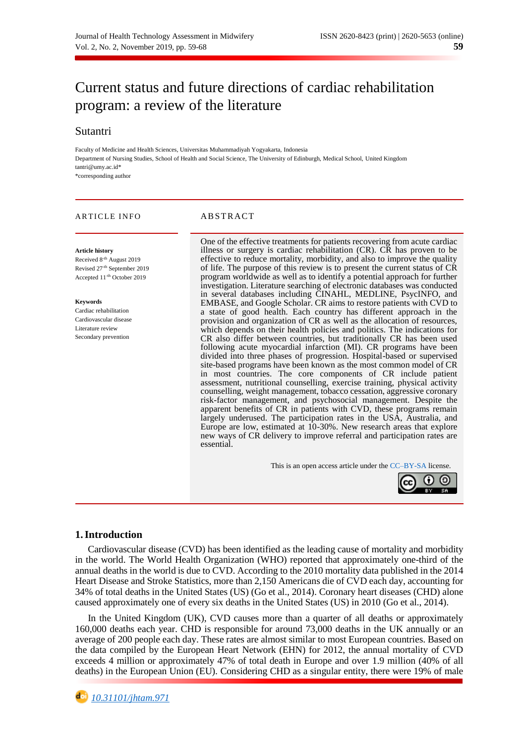# Current status and future directions of cardiac rehabilitation program: a review of the literature

# Sutantri

Faculty of Medicine and Health Sciences, Universitas Muhammadiyah Yogyakarta, Indonesia Department of Nursing Studies, School of Health and Social Science, The University of Edinburgh, Medical School, United Kingdom [tantri@umy.ac.id\\*](mailto:tantri@umy.ac.id) \*corresponding author

# ARTICLE INFO ABSTRACT

#### **Article history**

Received 8<sup>-th</sup> August 2019 Revised 27-th September 2019 Accepted 11-th October 2019

#### **Keywords**

Cardiac rehabilitation Cardiovascular disease Literature review Secondary prevention

One of the effective treatments for patients recovering from acute cardiac illness or surgery is cardiac rehabilitation (CR). CR has proven to be effective to reduce mortality, morbidity, and also to improve the quality of life. The purpose of this review is to present the current status of CR program worldwide as well as to identify a potential approach for further investigation. Literature searching of electronic databases was conducted in several databases including CINAHL, MEDLINE, PsycINFO, and EMBASE, and Google Scholar. CR aims to restore patients with CVD to a state of good health. Each country has different approach in the provision and organization of CR as well as the allocation of resources, which depends on their health policies and politics. The indications for CR also differ between countries, but traditionally CR has been used following acute myocardial infarction (MI). CR programs have been divided into three phases of progression. Hospital-based or supervised site-based programs have been known as the most common model of CR in most countries. The core components of CR include patient assessment, nutritional counselling, exercise training, physical activity counselling, weight management, tobacco cessation, aggressive coronary risk-factor management, and psychosocial management. Despite the apparent benefits of CR in patients with CVD, these programs remain largely underused. The participation rates in the USA, Australia, and Europe are low, estimated at 10-30%. New research areas that explore new ways of CR delivery to improve referral and participation rates are essential.

This is an open access article under th[e CC–BY-SA](http://creativecommons.org/licenses/by-sa/4.0/) license.



# **1.Introduction**

Cardiovascular disease (CVD) has been identified as the leading cause of mortality and morbidity in the world. The World Health Organization (WHO) reported that approximately one-third of the annual deaths in the world is due to CVD. According to the 2010 mortality data published in the 2014 Heart Disease and Stroke Statistics, more than 2,150 Americans die of CVD each day, accounting for 34% of total deaths in the United States (US) (Go et al., 2014). Coronary heart diseases (CHD) alone caused approximately one of every six deaths in the United States (US) in 2010 (Go et al., 2014).

In the United Kingdom (UK), CVD causes more than a quarter of all deaths or approximately 160,000 deaths each year. CHD is responsible for around 73,000 deaths in the UK annually or an average of 200 people each day. These rates are almost similar to most European countries. Based on the data compiled by the European Heart Network (EHN) for 2012, the annual mortality of CVD exceeds 4 million or approximately 47% of total death in Europe and over 1.9 million (40% of all deaths) in the European Union (EU). Considering CHD as a singular entity, there were 19% of male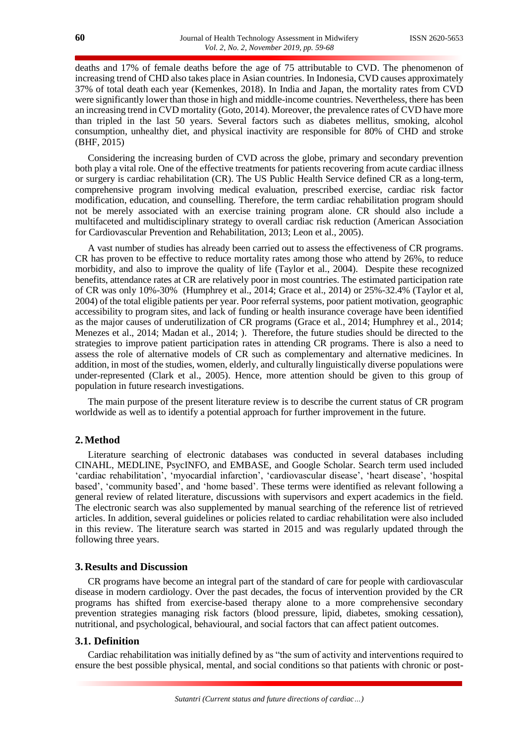deaths and 17% of female deaths before the age of 75 attributable to CVD. The phenomenon of increasing trend of CHD also takes place in Asian countries. In Indonesia, CVD causes approximately 37% of total death each year (Kemenkes, 2018). In India and Japan, the mortality rates from CVD were significantly lower than those in high and middle-income countries. Nevertheless, there has been an increasing trend in CVD mortality (Goto, 2014). Moreover, the prevalence rates of CVD have more than tripled in the last 50 years. Several factors such as diabetes mellitus, smoking, alcohol consumption, unhealthy diet, and physical inactivity are responsible for 80% of CHD and stroke (BHF, 2015)

Considering the increasing burden of CVD across the globe, primary and secondary prevention both play a vital role. One of the effective treatments for patients recovering from acute cardiac illness or surgery is cardiac rehabilitation (CR). The US Public Health Service defined CR as a long-term, comprehensive program involving medical evaluation, prescribed exercise, cardiac risk factor modification, education, and counselling. Therefore, the term cardiac rehabilitation program should not be merely associated with an exercise training program alone. CR should also include a multifaceted and multidisciplinary strategy to overall cardiac risk reduction (American Association for Cardiovascular Prevention and Rehabilitation, 2013; Leon et al., 2005).

A vast number of studies has already been carried out to assess the effectiveness of CR programs. CR has proven to be effective to reduce mortality rates among those who attend by 26%, to reduce morbidity, and also to improve the quality of life (Taylor et al., 2004). Despite these recognized benefits, attendance rates at CR are relatively poor in most countries. The estimated participation rate of CR was only 10%-30% (Humphrey et al., 2014; Grace et al., 2014) or 25%-32.4% (Taylor et al, 2004) of the total eligible patients per year. Poor referral systems, poor patient motivation, geographic accessibility to program sites, and lack of funding or health insurance coverage have been identified as the major causes of underutilization of CR programs (Grace et al., 2014; Humphrey et al., 2014; Menezes et al., 2014; Madan et al., 2014; ). Therefore, the future studies should be directed to the strategies to improve patient participation rates in attending CR programs. There is also a need to assess the role of alternative models of CR such as complementary and alternative medicines. In addition, in most of the studies, women, elderly, and culturally linguistically diverse populations were under-represented (Clark et al., 2005). Hence, more attention should be given to this group of population in future research investigations.

The main purpose of the present literature review is to describe the current status of CR program worldwide as well as to identify a potential approach for further improvement in the future.

# **2.Method**

Literature searching of electronic databases was conducted in several databases including CINAHL, MEDLINE, PsycINFO, and EMBASE, and Google Scholar. Search term used included 'cardiac rehabilitation', 'myocardial infarction', 'cardiovascular disease', 'heart disease', 'hospital based', 'community based', and 'home based'. These terms were identified as relevant following a general review of related literature, discussions with supervisors and expert academics in the field. The electronic search was also supplemented by manual searching of the reference list of retrieved articles. In addition, several guidelines or policies related to cardiac rehabilitation were also included in this review. The literature search was started in 2015 and was regularly updated through the following three years.

# **3. Results and Discussion**

CR programs have become an integral part of the standard of care for people with cardiovascular disease in modern cardiology. Over the past decades, the focus of intervention provided by the CR programs has shifted from exercise-based therapy alone to a more comprehensive secondary prevention strategies managing risk factors (blood pressure, lipid, diabetes, smoking cessation), nutritional, and psychological, behavioural, and social factors that can affect patient outcomes.

# **3.1. Definition**

Cardiac rehabilitation was initially defined by as "the sum of activity and interventions required to ensure the best possible physical, mental, and social conditions so that patients with chronic or post-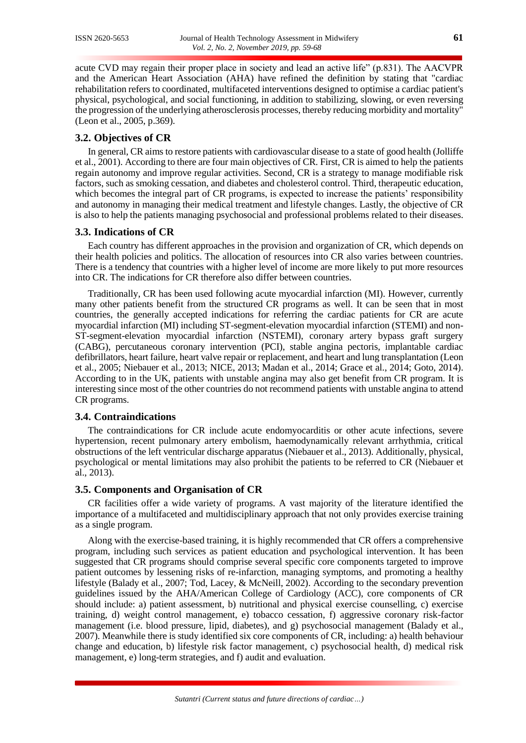acute CVD may regain their proper place in society and lead an active life" (p.831). The AACVPR and the American Heart Association (AHA) have refined the definition by stating that "cardiac rehabilitation refers to coordinated, multifaceted interventions designed to optimise a cardiac patient's physical, psychological, and social functioning, in addition to stabilizing, slowing, or even reversing the progression of the underlying atherosclerosis processes, thereby reducing morbidity and mortality" (Leon et al., 2005, p.369).

# **3.2. Objectives of CR**

In general, CR aims to restore patients with cardiovascular disease to a state of good health (Jolliffe et al., 2001). According to there are four main objectives of CR. First, CR is aimed to help the patients regain autonomy and improve regular activities. Second, CR is a strategy to manage modifiable risk factors, such as smoking cessation, and diabetes and cholesterol control. Third, therapeutic education, which becomes the integral part of CR programs, is expected to increase the patients' responsibility and autonomy in managing their medical treatment and lifestyle changes. Lastly, the objective of CR is also to help the patients managing psychosocial and professional problems related to their diseases.

# **3.3. Indications of CR**

Each country has different approaches in the provision and organization of CR, which depends on their health policies and politics. The allocation of resources into CR also varies between countries. There is a tendency that countries with a higher level of income are more likely to put more resources into CR. The indications for CR therefore also differ between countries.

Traditionally, CR has been used following acute myocardial infarction (MI). However, currently many other patients benefit from the structured CR programs as well. It can be seen that in most countries, the generally accepted indications for referring the cardiac patients for CR are acute myocardial infarction (MI) including ST-segment-elevation myocardial infarction (STEMI) and non-ST-segment-elevation myocardial infarction (NSTEMI), coronary artery bypass graft surgery (CABG), percutaneous coronary intervention (PCI), stable angina pectoris, implantable cardiac defibrillators, heart failure, heart valve repair or replacement, and heart and lung transplantation (Leon et al., 2005; Niebauer et al., 2013; NICE, 2013; Madan et al., 2014; Grace et al., 2014; Goto, 2014). According to in the UK, patients with unstable angina may also get benefit from CR program. It is interesting since most of the other countries do not recommend patients with unstable angina to attend CR programs.

#### **3.4. Contraindications**

The contraindications for CR include acute endomyocarditis or other acute infections, severe hypertension, recent pulmonary artery embolism, haemodynamically relevant arrhythmia, critical obstructions of the left ventricular discharge apparatus (Niebauer et al., 2013). Additionally, physical, psychological or mental limitations may also prohibit the patients to be referred to CR (Niebauer et al., 2013).

### **3.5. Components and Organisation of CR**

CR facilities offer a wide variety of programs. A vast majority of the literature identified the importance of a multifaceted and multidisciplinary approach that not only provides exercise training as a single program.

Along with the exercise-based training, it is highly recommended that CR offers a comprehensive program, including such services as patient education and psychological intervention. It has been suggested that CR programs should comprise several specific core components targeted to improve patient outcomes by lessening risks of re-infarction, managing symptoms, and promoting a healthy lifestyle (Balady et al., 2007; Tod, Lacey, & McNeill, 2002). According to the secondary prevention guidelines issued by the AHA/American College of Cardiology (ACC), core components of CR should include: a) patient assessment, b) nutritional and physical exercise counselling, c) exercise training, d) weight control management, e) tobacco cessation, f) aggressive coronary risk-factor management (i.e. blood pressure, lipid, diabetes), and g) psychosocial management (Balady et al., 2007). Meanwhile there is study identified six core components of CR, including: a) health behaviour change and education, b) lifestyle risk factor management, c) psychosocial health, d) medical risk management, e) long-term strategies, and f) audit and evaluation.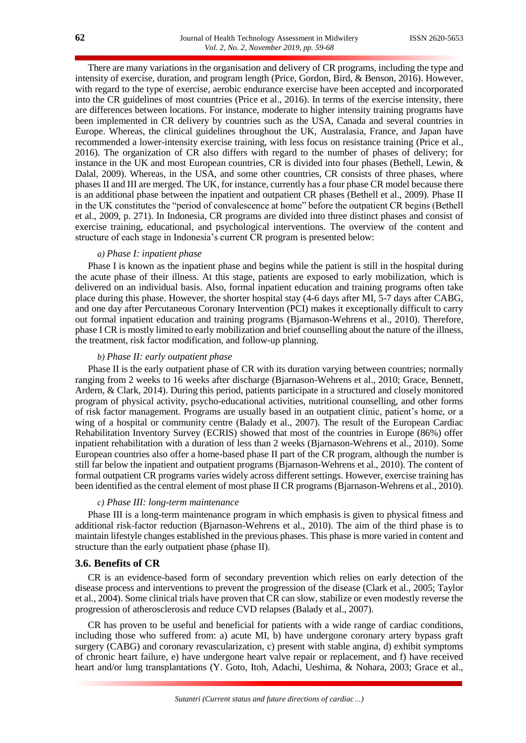There are many variations in the organisation and delivery of CR programs, including the type and intensity of exercise, duration, and program length (Price, Gordon, Bird, & Benson, 2016). However, with regard to the type of exercise, aerobic endurance exercise have been accepted and incorporated into the CR guidelines of most countries (Price et al., 2016). In terms of the exercise intensity, there are differences between locations. For instance, moderate to higher intensity training programs have been implemented in CR delivery by countries such as the USA, Canada and several countries in Europe. Whereas, the clinical guidelines throughout the UK, Australasia, France, and Japan have recommended a lower-intensity exercise training, with less focus on resistance training (Price et al., 2016). The organization of CR also differs with regard to the number of phases of delivery; for instance in the UK and most European countries, CR is divided into four phases (Bethell, Lewin, & Dalal, 2009). Whereas, in the USA, and some other countries, CR consists of three phases, where phases II and III are merged. The UK, for instance, currently has a four phase CR model because there is an additional phase between the inpatient and outpatient CR phases (Bethell et al., 2009). Phase II in the UK constitutes the "period of convalescence at home" before the outpatient CR begins (Bethell et al., 2009, p. 271). In Indonesia, CR programs are divided into three distinct phases and consist of exercise training, educational, and psychological interventions. The overview of the content and structure of each stage in Indonesia's current CR program is presented below:

#### *a) Phase I: inpatient phase*

Phase I is known as the inpatient phase and begins while the patient is still in the hospital during the acute phase of their illness. At this stage, patients are exposed to early mobilization, which is delivered on an individual basis. Also, formal inpatient education and training programs often take place during this phase. However, the shorter hospital stay (4-6 days after MI, 5-7 days after CABG, and one day after Percutaneous Coronary Intervention (PCI) makes it exceptionally difficult to carry out formal inpatient education and training programs (Bjarnason-Wehrens et al., 2010). Therefore, phase I CR is mostly limited to early mobilization and brief counselling about the nature of the illness, the treatment, risk factor modification, and follow-up planning.

#### *b) Phase II: early outpatient phase*

Phase II is the early outpatient phase of CR with its duration varying between countries; normally ranging from 2 weeks to 16 weeks after discharge (Bjarnason-Wehrens et al., 2010; Grace, Bennett, Ardern, & Clark, 2014). During this period, patients participate in a structured and closely monitored program of physical activity, psycho-educational activities, nutritional counselling, and other forms of risk factor management. Programs are usually based in an outpatient clinic, patient's home, or a wing of a hospital or community centre (Balady et al., 2007). The result of the European Cardiac Rehabilitation Inventory Survey (ECRIS) showed that most of the countries in Europe (86%) offer inpatient rehabilitation with a duration of less than 2 weeks (Bjarnason-Wehrens et al., 2010). Some European countries also offer a home-based phase II part of the CR program, although the number is still far below the inpatient and outpatient programs (Bjarnason-Wehrens et al., 2010). The content of formal outpatient CR programs varies widely across different settings. However, exercise training has been identified as the central element of most phase II CR programs (Bjarnason-Wehrens et al., 2010).

#### *c) Phase III: long-term maintenance*

Phase III is a long-term maintenance program in which emphasis is given to physical fitness and additional risk-factor reduction (Bjarnason-Wehrens et al., 2010). The aim of the third phase is to maintain lifestyle changes established in the previous phases. This phase is more varied in content and structure than the early outpatient phase (phase II).

#### **3.6. Benefits of CR**

CR is an evidence-based form of secondary prevention which relies on early detection of the disease process and interventions to prevent the progression of the disease (Clark et al., 2005; Taylor et al., 2004). Some clinical trials have proven that CR can slow, stabilize or even modestly reverse the progression of atherosclerosis and reduce CVD relapses (Balady et al., 2007).

CR has proven to be useful and beneficial for patients with a wide range of cardiac conditions, including those who suffered from: a) acute MI, b) have undergone coronary artery bypass graft surgery (CABG) and coronary revascularization, c) present with stable angina, d) exhibit symptoms of chronic heart failure, e) have undergone heart valve repair or replacement, and f) have received heart and/or lung transplantations (Y. Goto, Itoh, Adachi, Ueshima, & Nohara, 2003; Grace et al.,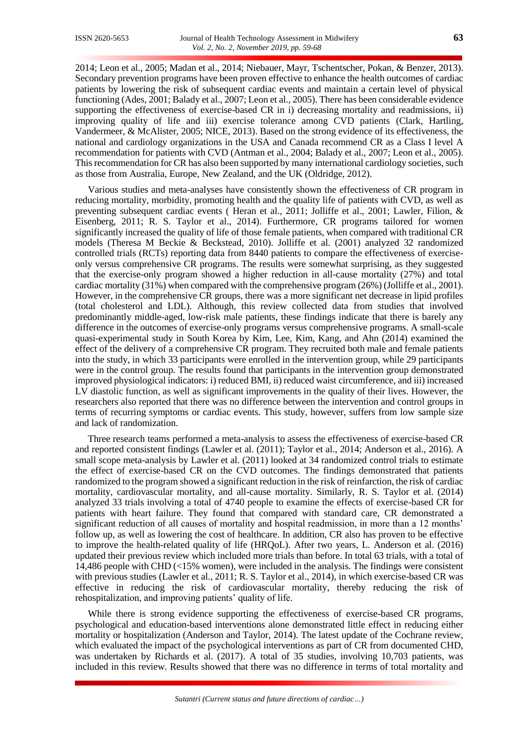2014; Leon et al., 2005; Madan et al., 2014; Niebauer, Mayr, Tschentscher, Pokan, & Benzer, 2013). Secondary prevention programs have been proven effective to enhance the health outcomes of cardiac patients by lowering the risk of subsequent cardiac events and maintain a certain level of physical functioning (Ades, 2001; Balady et al., 2007; Leon et al., 2005). There has been considerable evidence supporting the effectiveness of exercise-based CR in i) decreasing mortality and readmissions, ii) improving quality of life and iii) exercise tolerance among CVD patients (Clark, Hartling, Vandermeer, & McAlister, 2005; NICE, 2013). Based on the strong evidence of its effectiveness, the national and cardiology organizations in the USA and Canada recommend CR as a Class I level A recommendation for patients with CVD (Antman et al., 2004; Balady et al., 2007; Leon et al., 2005). This recommendation for CR has also been supported by many international cardiology societies, such as those from Australia, Europe, New Zealand, and the UK (Oldridge, 2012).

Various studies and meta-analyses have consistently shown the effectiveness of CR program in reducing mortality, morbidity, promoting health and the quality life of patients with CVD, as well as preventing subsequent cardiac events ( Heran et al., 2011; Jolliffe et al., 2001; Lawler, Filion, & Eisenberg, 2011; R. S. Taylor et al., 2014). Furthermore, CR programs tailored for women significantly increased the quality of life of those female patients, when compared with traditional CR models (Theresa M Beckie & Beckstead, 2010). Jolliffe et al. (2001) analyzed 32 randomized controlled trials (RCTs) reporting data from 8440 patients to compare the effectiveness of exerciseonly versus comprehensive CR programs. The results were somewhat surprising, as they suggested that the exercise-only program showed a higher reduction in all-cause mortality (27%) and total cardiac mortality (31%) when compared with the comprehensive program (26%) (Jolliffe et al., 2001). However, in the comprehensive CR groups, there was a more significant net decrease in lipid profiles (total cholesterol and LDL). Although, this review collected data from studies that involved predominantly middle-aged, low-risk male patients, these findings indicate that there is barely any difference in the outcomes of exercise-only programs versus comprehensive programs. A small-scale quasi-experimental study in South Korea by Kim, Lee, Kim, Kang, and Ahn (2014) examined the effect of the delivery of a comprehensive CR program. They recruited both male and female patients into the study, in which 33 participants were enrolled in the intervention group, while 29 participants were in the control group. The results found that participants in the intervention group demonstrated improved physiological indicators: i) reduced BMI, ii) reduced waist circumference, and iii) increased LV diastolic function, as well as significant improvements in the quality of their lives. However, the researchers also reported that there was no difference between the intervention and control groups in terms of recurring symptoms or cardiac events. This study, however, suffers from low sample size and lack of randomization.

Three research teams performed a meta-analysis to assess the effectiveness of exercise-based CR and reported consistent findings (Lawler et al. (2011); Taylor et al., 2014; Anderson et al., 2016). A small scope meta-analysis by Lawler et al. (2011) looked at 34 randomized control trials to estimate the effect of exercise-based CR on the CVD outcomes. The findings demonstrated that patients randomized to the program showed a significant reduction in the risk of reinfarction, the risk of cardiac mortality, cardiovascular mortality, and all-cause mortality. Similarly, R. S. Taylor et al. (2014) analyzed 33 trials involving a total of 4740 people to examine the effects of exercise-based CR for patients with heart failure. They found that compared with standard care, CR demonstrated a significant reduction of all causes of mortality and hospital readmission, in more than a 12 months' follow up, as well as lowering the cost of healthcare. In addition, CR also has proven to be effective to improve the health-related quality of life (HRQoL). After two years, L. Anderson et al. (2016) updated their previous review which included more trials than before. In total 63 trials, with a total of 14,486 people with CHD (<15% women), were included in the analysis. The findings were consistent with previous studies (Lawler et al., 2011; R. S. Taylor et al., 2014), in which exercise-based CR was effective in reducing the risk of cardiovascular mortality, thereby reducing the risk of rehospitalization, and improving patients' quality of life.

While there is strong evidence supporting the effectiveness of exercise-based CR programs, psychological and education-based interventions alone demonstrated little effect in reducing either mortality or hospitalization (Anderson and Taylor, 2014). The latest update of the Cochrane review, which evaluated the impact of the psychological interventions as part of CR from documented CHD, was undertaken by Richards et al. (2017). A total of 35 studies, involving 10,703 patients, was included in this review. Results showed that there was no difference in terms of total mortality and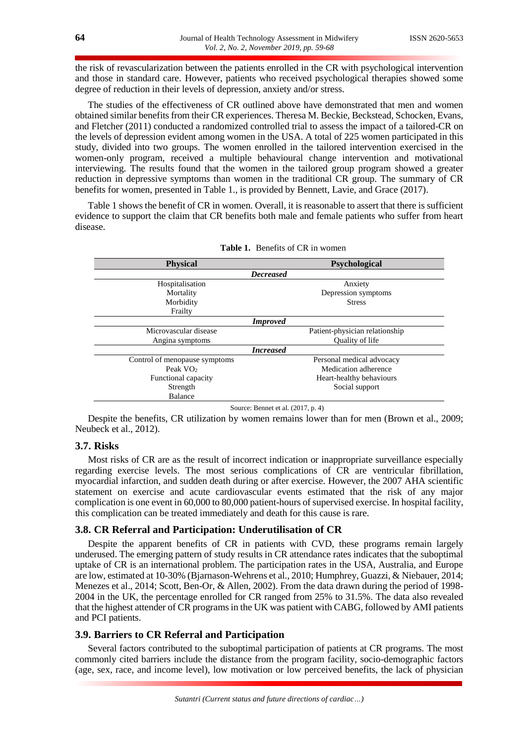the risk of revascularization between the patients enrolled in the CR with psychological intervention and those in standard care. However, patients who received psychological therapies showed some degree of reduction in their levels of depression, anxiety and/or stress.

The studies of the effectiveness of CR outlined above have demonstrated that men and women obtained similar benefits from their CR experiences. Theresa M. Beckie, Beckstead, Schocken, Evans, and Fletcher (2011) conducted a randomized controlled trial to assess the impact of a tailored-CR on the levels of depression evident among women in the USA. A total of 225 women participated in this study, divided into two groups. The women enrolled in the tailored intervention exercised in the women-only program, received a multiple behavioural change intervention and motivational interviewing. The results found that the women in the tailored group program showed a greater reduction in depressive symptoms than women in the traditional CR group. The summary of CR benefits for women, presented in Table 1., is provided by Bennett, Lavie, and Grace (2017).

Table 1 shows the benefit of CR in women. Overall, it is reasonable to assert that there is sufficient evidence to support the claim that CR benefits both male and female patients who suffer from heart disease.

| <b>Physical</b>               | <b>Psychological</b>           |
|-------------------------------|--------------------------------|
| <b>Decreased</b>              |                                |
| Hospitalisation               | Anxiety                        |
| Mortality                     | Depression symptoms            |
| Morbidity                     | <b>Stress</b>                  |
| Frailty                       |                                |
| <i>Improved</i>               |                                |
| Microvascular disease         | Patient-physician relationship |
| Angina symptoms               | Quality of life                |
| <i>Increased</i>              |                                |
| Control of menopause symptoms | Personal medical advocacy      |
| Peak $VO2$                    | Medication adherence           |
| Functional capacity           | Heart-healthy behaviours       |
| Strength                      | Social support                 |
| <b>Balance</b>                |                                |

| <b>Table 1.</b> Benefits of CR in women |
|-----------------------------------------|
|                                         |
|                                         |

Source: Bennet et al. (2017, p. 4)

Despite the benefits, CR utilization by women remains lower than for men (Brown et al., 2009; Neubeck et al., 2012).

# **3.7. Risks**

Most risks of CR are as the result of incorrect indication or inappropriate surveillance especially regarding exercise levels. The most serious complications of CR are ventricular fibrillation, myocardial infarction, and sudden death during or after exercise. However, the 2007 AHA scientific statement on exercise and acute cardiovascular events estimated that the risk of any major complication is one event in 60,000 to 80,000 patient-hours of supervised exercise. In hospital facility, this complication can be treated immediately and death for this cause is rare.

### **3.8. CR Referral and Participation: Underutilisation of CR**

Despite the apparent benefits of CR in patients with CVD, these programs remain largely underused. The emerging pattern of study results in CR attendance rates indicates that the suboptimal uptake of CR is an international problem. The participation rates in the USA, Australia, and Europe are low, estimated at 10-30% (Bjarnason-Wehrens et al., 2010; Humphrey, Guazzi, & Niebauer, 2014; Menezes et al., 2014; Scott, Ben-Or, & Allen, 2002). From the data drawn during the period of 1998- 2004 in the UK, the percentage enrolled for CR ranged from 25% to 31.5%. The data also revealed that the highest attender of CR programs in the UK was patient with CABG, followed by AMI patients and PCI patients.

# **3.9. Barriers to CR Referral and Participation**

Several factors contributed to the suboptimal participation of patients at CR programs. The most commonly cited barriers include the distance from the program facility, socio-demographic factors (age, sex, race, and income level), low motivation or low perceived benefits, the lack of physician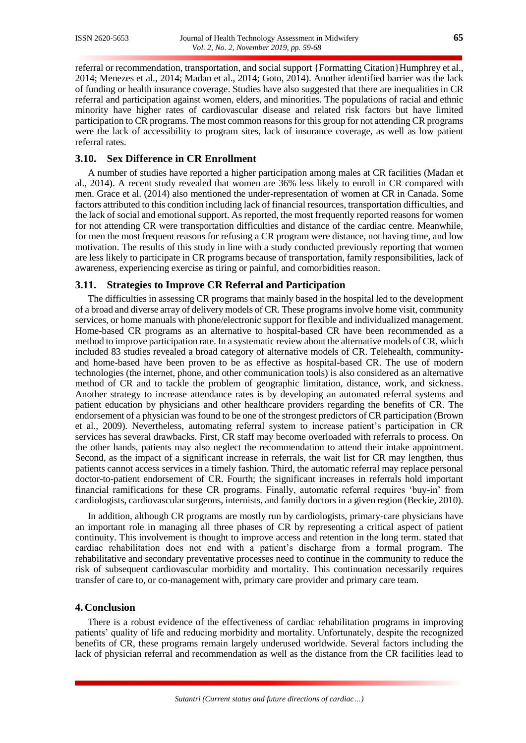referral or recommendation, transportation, and social support {Formatting Citation}Humphrey et al., 2014; Menezes et al., 2014; Madan et al., 2014; Goto, 2014). Another identified barrier was the lack of funding or health insurance coverage. Studies have also suggested that there are inequalities in CR referral and participation against women, elders, and minorities. The populations of racial and ethnic minority have higher rates of cardiovascular disease and related risk factors but have limited participation to CR programs. The most common reasons for this group for not attending CR programs were the lack of accessibility to program sites, lack of insurance coverage, as well as low patient referral rates.

# **3.10. Sex Difference in CR Enrollment**

A number of studies have reported a higher participation among males at CR facilities (Madan et al., 2014). A recent study revealed that women are 36% less likely to enroll in CR compared with men. Grace et al. (2014) also mentioned the under-representation of women at CR in Canada. Some factors attributed to this condition including lack of financial resources, transportation difficulties, and the lack of social and emotional support. As reported, the most frequently reported reasons for women for not attending CR were transportation difficulties and distance of the cardiac centre. Meanwhile, for men the most frequent reasons for refusing a CR program were distance, not having time, and low motivation. The results of this study in line with a study conducted previously reporting that women are less likely to participate in CR programs because of transportation, family responsibilities, lack of awareness, experiencing exercise as tiring or painful, and comorbidities reason.

# **3.11. Strategies to Improve CR Referral and Participation**

The difficulties in assessing CR programs that mainly based in the hospital led to the development of a broad and diverse array of delivery models of CR. These programs involve home visit, community services, or home manuals with phone/electronic support for flexible and individualized management. Home-based CR programs as an alternative to hospital-based CR have been recommended as a method to improve participation rate. In a systematic review about the alternative models of CR, which included 83 studies revealed a broad category of alternative models of CR. Telehealth, communityand home-based have been proven to be as effective as hospital-based CR. The use of modern technologies (the internet, phone, and other communication tools) is also considered as an alternative method of CR and to tackle the problem of geographic limitation, distance, work, and sickness. Another strategy to increase attendance rates is by developing an automated referral systems and patient education by physicians and other healthcare providers regarding the benefits of CR. The endorsement of a physician was found to be one of the strongest predictors of CR participation (Brown et al., 2009). Nevertheless, automating referral system to increase patient's participation in CR services has several drawbacks. First, CR staff may become overloaded with referrals to process. On the other hands, patients may also neglect the recommendation to attend their intake appointment. Second, as the impact of a significant increase in referrals, the wait list for CR may lengthen, thus patients cannot access services in a timely fashion. Third, the automatic referral may replace personal doctor-to-patient endorsement of CR. Fourth; the significant increases in referrals hold important financial ramifications for these CR programs. Finally, automatic referral requires 'buy-in' from cardiologists, cardiovascular surgeons, internists, and family doctors in a given region (Beckie, 2010).

In addition, although CR programs are mostly run by cardiologists, primary-care physicians have an important role in managing all three phases of CR by representing a critical aspect of patient continuity. This involvement is thought to improve access and retention in the long term. stated that cardiac rehabilitation does not end with a patient's discharge from a formal program. The rehabilitative and secondary preventative processes need to continue in the community to reduce the risk of subsequent cardiovascular morbidity and mortality. This continuation necessarily requires transfer of care to, or co-management with, primary care provider and primary care team.

#### **4. Conclusion**

There is a robust evidence of the effectiveness of cardiac rehabilitation programs in improving patients' quality of life and reducing morbidity and mortality. Unfortunately, despite the recognized benefits of CR, these programs remain largely underused worldwide. Several factors including the lack of physician referral and recommendation as well as the distance from the CR facilities lead to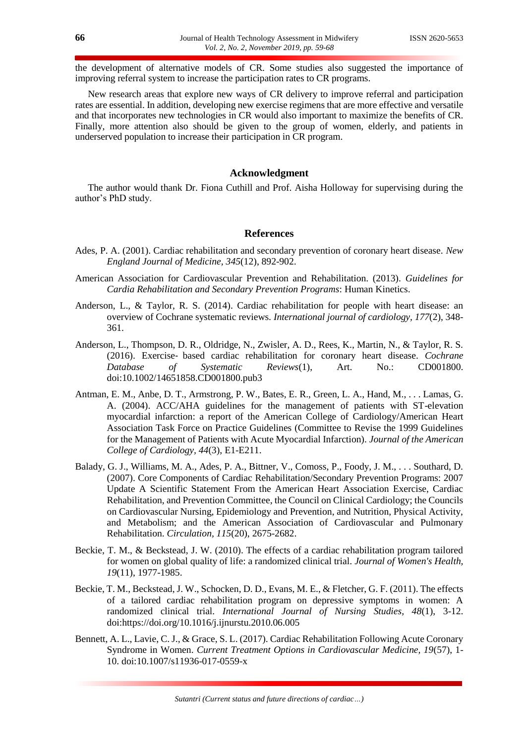the development of alternative models of CR. Some studies also suggested the importance of improving referral system to increase the participation rates to CR programs.

New research areas that explore new ways of CR delivery to improve referral and participation rates are essential. In addition, developing new exercise regimens that are more effective and versatile and that incorporates new technologies in CR would also important to maximize the benefits of CR. Finally, more attention also should be given to the group of women, elderly, and patients in underserved population to increase their participation in CR program.

# **Acknowledgment**

The author would thank Dr. Fiona Cuthill and Prof. Aisha Holloway for supervising during the author's PhD study.

#### **References**

- Ades, P. A. (2001). Cardiac rehabilitation and secondary prevention of coronary heart disease. *New England Journal of Medicine, 345*(12), 892-902.
- American Association for Cardiovascular Prevention and Rehabilitation. (2013). *Guidelines for Cardia Rehabilitation and Secondary Prevention Programs*: Human Kinetics.
- Anderson, L., & Taylor, R. S. (2014). Cardiac rehabilitation for people with heart disease: an overview of Cochrane systematic reviews. *International journal of cardiology, 177*(2), 348- 361.
- Anderson, L., Thompson, D. R., Oldridge, N., Zwisler, A. D., Rees, K., Martin, N., & Taylor, R. S. (2016). Exercise‐ based cardiac rehabilitation for coronary heart disease. *Cochrane Database of Systematic Reviews*(1), Art. No.: CD001800. doi:10.1002/14651858.CD001800.pub3
- Antman, E. M., Anbe, D. T., Armstrong, P. W., Bates, E. R., Green, L. A., Hand, M., . . . Lamas, G. A. (2004). ACC/AHA guidelines for the management of patients with ST-elevation myocardial infarction: a report of the American College of Cardiology/American Heart Association Task Force on Practice Guidelines (Committee to Revise the 1999 Guidelines for the Management of Patients with Acute Myocardial Infarction). *Journal of the American College of Cardiology, 44*(3), E1-E211.
- Balady, G. J., Williams, M. A., Ades, P. A., Bittner, V., Comoss, P., Foody, J. M., . . . Southard, D. (2007). Core Components of Cardiac Rehabilitation/Secondary Prevention Programs: 2007 Update A Scientific Statement From the American Heart Association Exercise, Cardiac Rehabilitation, and Prevention Committee, the Council on Clinical Cardiology; the Councils on Cardiovascular Nursing, Epidemiology and Prevention, and Nutrition, Physical Activity, and Metabolism; and the American Association of Cardiovascular and Pulmonary Rehabilitation. *Circulation, 115*(20), 2675-2682.
- Beckie, T. M., & Beckstead, J. W. (2010). The effects of a cardiac rehabilitation program tailored for women on global quality of life: a randomized clinical trial. *Journal of Women's Health, 19*(11), 1977-1985.
- Beckie, T. M., Beckstead, J. W., Schocken, D. D., Evans, M. E., & Fletcher, G. F. (2011). The effects of a tailored cardiac rehabilitation program on depressive symptoms in women: A randomized clinical trial. *International Journal of Nursing Studies, 48*(1), 3-12. doi:https://doi.org/10.1016/j.ijnurstu.2010.06.005
- Bennett, A. L., Lavie, C. J., & Grace, S. L. (2017). Cardiac Rehabilitation Following Acute Coronary Syndrome in Women. *Current Treatment Options in Cardiovascular Medicine, 19*(57), 1- 10. doi:10.1007/s11936-017-0559-x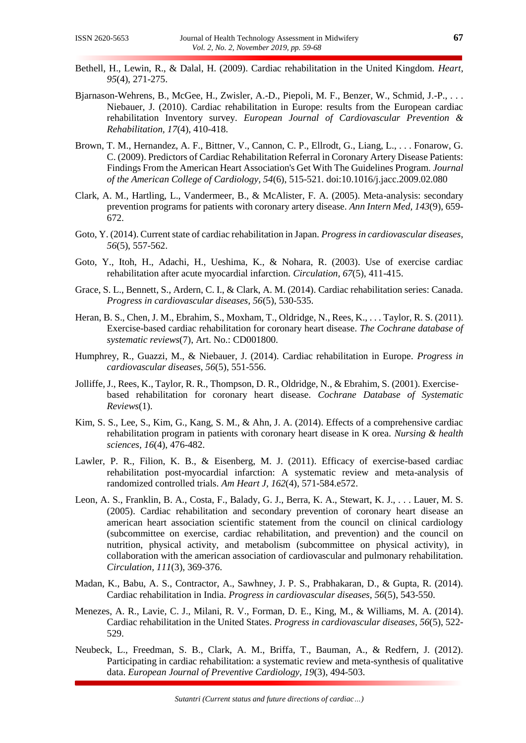- Bethell, H., Lewin, R., & Dalal, H. (2009). Cardiac rehabilitation in the United Kingdom. *Heart, 95*(4), 271-275.
- Bjarnason-Wehrens, B., McGee, H., Zwisler, A.-D., Piepoli, M. F., Benzer, W., Schmid, J.-P., . . . Niebauer, J. (2010). Cardiac rehabilitation in Europe: results from the European cardiac rehabilitation Inventory survey. *European Journal of Cardiovascular Prevention & Rehabilitation, 17*(4), 410-418.
- Brown, T. M., Hernandez, A. F., Bittner, V., Cannon, C. P., Ellrodt, G., Liang, L., . . . Fonarow, G. C. (2009). Predictors of Cardiac Rehabilitation Referral in Coronary Artery Disease Patients: Findings From the American Heart Association's Get With The Guidelines Program. *Journal of the American College of Cardiology, 54*(6), 515-521. doi:10.1016/j.jacc.2009.02.080
- Clark, A. M., Hartling, L., Vandermeer, B., & McAlister, F. A. (2005). Meta-analysis: secondary prevention programs for patients with coronary artery disease. *Ann Intern Med, 143*(9), 659- 672.
- Goto, Y. (2014). Current state of cardiac rehabilitation in Japan. *Progress in cardiovascular diseases, 56*(5), 557-562.
- Goto, Y., Itoh, H., Adachi, H., Ueshima, K., & Nohara, R. (2003). Use of exercise cardiac rehabilitation after acute myocardial infarction. *Circulation, 67*(5), 411-415.
- Grace, S. L., Bennett, S., Ardern, C. I., & Clark, A. M. (2014). Cardiac rehabilitation series: Canada. *Progress in cardiovascular diseases, 56*(5), 530-535.
- Heran, B. S., Chen, J. M., Ebrahim, S., Moxham, T., Oldridge, N., Rees, K., . . . Taylor, R. S. (2011). Exercise-based cardiac rehabilitation for coronary heart disease. *The Cochrane database of systematic reviews*(7), Art. No.: CD001800.
- Humphrey, R., Guazzi, M., & Niebauer, J. (2014). Cardiac rehabilitation in Europe. *Progress in cardiovascular diseases, 56*(5), 551-556.
- Jolliffe, J., Rees, K., Taylor, R. R., Thompson, D. R., Oldridge, N., & Ebrahim, S. (2001). Exercise‐ based rehabilitation for coronary heart disease. *Cochrane Database of Systematic Reviews*(1).
- Kim, S. S., Lee, S., Kim, G., Kang, S. M., & Ahn, J. A. (2014). Effects of a comprehensive cardiac rehabilitation program in patients with coronary heart disease in K orea. *Nursing & health sciences, 16*(4), 476-482.
- Lawler, P. R., Filion, K. B., & Eisenberg, M. J. (2011). Efficacy of exercise-based cardiac rehabilitation post-myocardial infarction: A systematic review and meta-analysis of randomized controlled trials. *Am Heart J, 162*(4), 571-584.e572.
- Leon, A. S., Franklin, B. A., Costa, F., Balady, G. J., Berra, K. A., Stewart, K. J., . . . Lauer, M. S. (2005). Cardiac rehabilitation and secondary prevention of coronary heart disease an american heart association scientific statement from the council on clinical cardiology (subcommittee on exercise, cardiac rehabilitation, and prevention) and the council on nutrition, physical activity, and metabolism (subcommittee on physical activity), in collaboration with the american association of cardiovascular and pulmonary rehabilitation. *Circulation, 111*(3), 369-376.
- Madan, K., Babu, A. S., Contractor, A., Sawhney, J. P. S., Prabhakaran, D., & Gupta, R. (2014). Cardiac rehabilitation in India. *Progress in cardiovascular diseases, 56*(5), 543-550.
- Menezes, A. R., Lavie, C. J., Milani, R. V., Forman, D. E., King, M., & Williams, M. A. (2014). Cardiac rehabilitation in the United States. *Progress in cardiovascular diseases, 56*(5), 522- 529.
- Neubeck, L., Freedman, S. B., Clark, A. M., Briffa, T., Bauman, A., & Redfern, J. (2012). Participating in cardiac rehabilitation: a systematic review and meta-synthesis of qualitative data. *European Journal of Preventive Cardiology, 19*(3), 494-503.